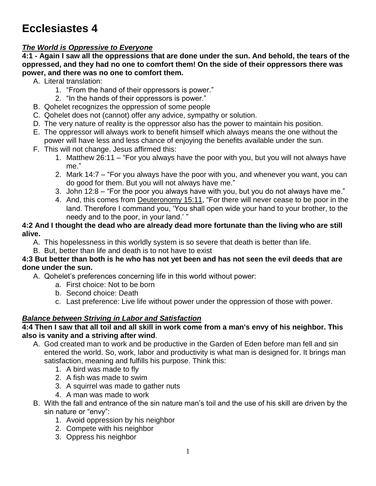# **Ecclesiastes 4**

# *The World is Oppressive to Everyone*

**4:1 - Again I saw all the oppressions that are done under the sun. And behold, the tears of the oppressed, and they had no one to comfort them! On the side of their oppressors there was power, and there was no one to comfort them.**

- A. Literal translation:
	- 1. "From the hand of their oppressors is power."
	- 2. "In the hands of their oppressors is power."
- B. Qohelet recognizes the oppression of some people
- C. Qohelet does not (cannot) offer any advice, sympathy or solution.
- D. The very nature of reality is the oppressor also has the power to maintain his position.
- E. The oppressor will always work to benefit himself which always means the one without the power will have less and less chance of enjoying the benefits available under the sun.
- F. This will not change. Jesus affirmed this:
	- 1. Matthew 26:11 "For you always have the poor with you, but you will not always have me."
	- 2. Mark 14:7 "For you always have the poor with you, and whenever you want, you can do good for them. But you will not always have me."
	- 3. John 12:8 "For the poor you always have with you, but you do not always have me."
	- 4. And, this comes from **Deuteronomy 15:11**, "For there will never cease to be poor in the land. Therefore I command you, 'You shall open wide your hand to your brother, to the needy and to the poor, in your land.' "

#### **4:2 And I thought the dead who are already dead more fortunate than the living who are still alive.**

- A. This hopelessness in this worldly system is so severe that death is better than life.
- B. But, better than life and death is to not have to exist

#### **4:3 But better than both is he who has not yet been and has not seen the evil deeds that are done under the sun.**

- A. Qohelet's preferences concerning life in this world without power:
	- a. First choice: Not to be born
	- b. Second choice: Death
	- c. Last preference: Live life without power under the oppression of those with power.

## *Balance between Striving in Labor and Satisfaction*

#### **4:4 Then I saw that all toil and all skill in work come from a man's envy of his neighbor. This also is vanity and a striving after wind**.

- A. God created man to work and be productive in the Garden of Eden before man fell and sin entered the world. So, work, labor and productivity is what man is designed for. It brings man satisfaction, meaning and fulfills his purpose. Think this:
	- 1. A bird was made to fly
	- 2. A fish was made to swim
	- 3. A squirrel was made to gather nuts
	- 4. A man was made to work
- B. With the fall and entrance of the sin nature man's toil and the use of his skill are driven by the sin nature or "envy":
	- 1. Avoid oppression by his neighbor
	- 2. Compete with his neighbor
	- 3. Oppress his neighbor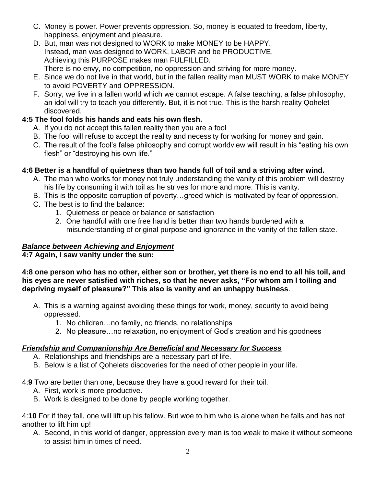- C. Money is power. Power prevents oppression. So, money is equated to freedom, liberty, happiness, enjoyment and pleasure.
- D. But, man was not designed to WORK to make MONEY to be HAPPY. Instead, man was designed to WORK, LABOR and be PRODUCTIVE. Achieving this PURPOSE makes man FULFILLED. There is no envy, no competition, no oppression and striving for more money.
- E. Since we do not live in that world, but in the fallen reality man MUST WORK to make MONEY to avoid POVERTY and OPPRESSION.
- F. Sorry, we live in a fallen world which we cannot escape. A false teaching, a false philosophy, an idol will try to teach you differently. But, it is not true. This is the harsh reality Qohelet discovered.

# **4:5 The fool folds his hands and eats his own flesh.**

- A. If you do not accept this fallen reality then you are a fool
- B. The fool will refuse to accept the reality and necessity for working for money and gain.
- C. The result of the fool's false philosophy and corrupt worldview will result in his "eating his own flesh" or "destroying his own life."

### **4:6 Better is a handful of quietness than two hands full of toil and a striving after wind.**

- A. The man who works for money not truly understanding the vanity of this problem will destroy his life by consuming it with toil as he strives for more and more. This is vanity.
- B. This is the opposite corruption of poverty…greed which is motivated by fear of oppression.
- C. The best is to find the balance:
	- 1. Quietness or peace or balance or satisfaction
	- 2. One handful with one free hand is better than two hands burdened with a misunderstanding of original purpose and ignorance in the vanity of the fallen state.

## *Balance between Achieving and Enjoyment*

**4:7 Again, I saw vanity under the sun:**

#### **4:8 one person who has no other, either son or brother, yet there is no end to all his toil, and his eyes are never satisfied with riches, so that he never asks, "For whom am I toiling and depriving myself of pleasure?" This also is vanity and an unhappy business**.

- A. This is a warning against avoiding these things for work, money, security to avoid being oppressed.
	- 1. No children…no family, no friends, no relationships
	- 2. No pleasure…no relaxation, no enjoyment of God's creation and his goodness

#### *Friendship and Companionship Are Beneficial and Necessary for Success*

- A. Relationships and friendships are a necessary part of life.
- B. Below is a list of Qohelets discoveries for the need of other people in your life.

#### 4:**9** Two are better than one, because they have a good reward for their toil.

- A. First, work is more productive.
- B. Work is designed to be done by people working together.

4:**10** For if they fall, one will lift up his fellow. But woe to him who is alone when he falls and has not another to lift him up!

A. Second, in this world of danger, oppression every man is too weak to make it without someone to assist him in times of need.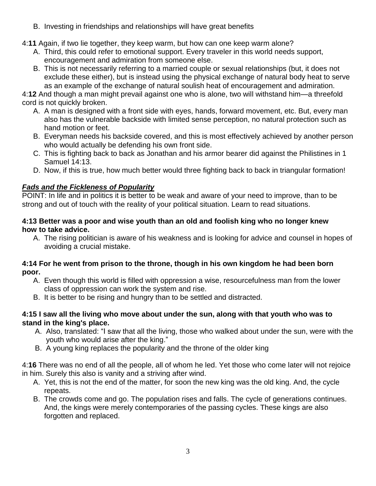- B. Investing in friendships and relationships will have great benefits
- 4:**11** Again, if two lie together, they keep warm, but how can one keep warm alone?
	- A. Third, this could refer to emotional support. Every traveler in this world needs support, encouragement and admiration from someone else.
	- B. This is not necessarily referring to a married couple or sexual relationships (but, it does not exclude these either), but is instead using the physical exchange of natural body heat to serve as an example of the exchange of natural soulish heat of encouragement and admiration.

4:**12** And though a man might prevail against one who is alone, two will withstand him—a threefold cord is not quickly broken.

- A. A man is designed with a front side with eyes, hands, forward movement, etc. But, every man also has the vulnerable backside with limited sense perception, no natural protection such as hand motion or feet.
- B. Everyman needs his backside covered, and this is most effectively achieved by another person who would actually be defending his own front side.
- C. This is fighting back to back as Jonathan and his armor bearer did against the Philistines in 1 Samuel 14:13.
- D. Now, if this is true, how much better would three fighting back to back in triangular formation!

# *Fads and the Fickleness of Popularity*

POINT: In life and in politics it is better to be weak and aware of your need to improve, than to be strong and out of touch with the reality of your political situation. Learn to read situations.

#### **4:13 Better was a poor and wise youth than an old and foolish king who no longer knew how to take advice.**

A. The rising politician is aware of his weakness and is looking for advice and counsel in hopes of avoiding a crucial mistake.

#### **4:14 For he went from prison to the throne, though in his own kingdom he had been born poor.**

- A. Even though this world is filled with oppression a wise, resourcefulness man from the lower class of oppression can work the system and rise.
- B. It is better to be rising and hungry than to be settled and distracted.

### **4:15 I saw all the living who move about under the sun, along with that youth who was to stand in the king's place.**

- A. Also, translated: "I saw that all the living, those who walked about under the sun, were with the youth who would arise after the king."
- B. A young king replaces the popularity and the throne of the older king

4:**16** There was no end of all the people, all of whom he led. Yet those who come later will not rejoice in him. Surely this also is vanity and a striving after wind.

- A. Yet, this is not the end of the matter, for soon the new king was the old king. And, the cycle repeats.
- B. The crowds come and go. The population rises and falls. The cycle of generations continues. And, the kings were merely contemporaries of the passing cycles. These kings are also forgotten and replaced.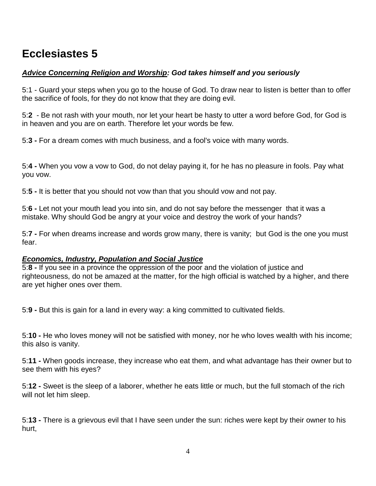# **Ecclesiastes 5**

#### *Advice Concerning Religion and Worship: God takes himself and you seriously*

5:1 - Guard your steps when you go to the house of God. To draw near to listen is better than to offer the sacrifice of fools, for they do not know that they are doing evil.

5:**2** - Be not rash with your mouth, nor let your heart be hasty to utter a word before God, for God is in heaven and you are on earth. Therefore let your words be few.

5:**3 -** For a dream comes with much business, and a fool's voice with many words.

5:**4 -** When you vow a vow to God, do not delay paying it, for he has no pleasure in fools. Pay what you vow.

5:**5 -** It is better that you should not vow than that you should vow and not pay.

5:**6 -** Let not your mouth lead you into sin, and do not say before the messenger that it was a mistake. Why should God be angry at your voice and destroy the work of your hands?

5:**7 -** For when dreams increase and words grow many, there is vanity; but God is the one you must fear.

#### *Economics, Industry, Population and Social Justice*

5:**8 -** If you see in a province the oppression of the poor and the violation of justice and righteousness, do not be amazed at the matter, for the high official is watched by a higher, and there are yet higher ones over them.

5:**9 -** But this is gain for a land in every way: a king committed to cultivated fields.

5:**10 -** He who loves money will not be satisfied with money, nor he who loves wealth with his income; this also is vanity.

5:**11 -** When goods increase, they increase who eat them, and what advantage has their owner but to see them with his eyes?

5:**12 -** Sweet is the sleep of a laborer, whether he eats little or much, but the full stomach of the rich will not let him sleep.

5:**13 -** There is a grievous evil that I have seen under the sun: riches were kept by their owner to his hurt,